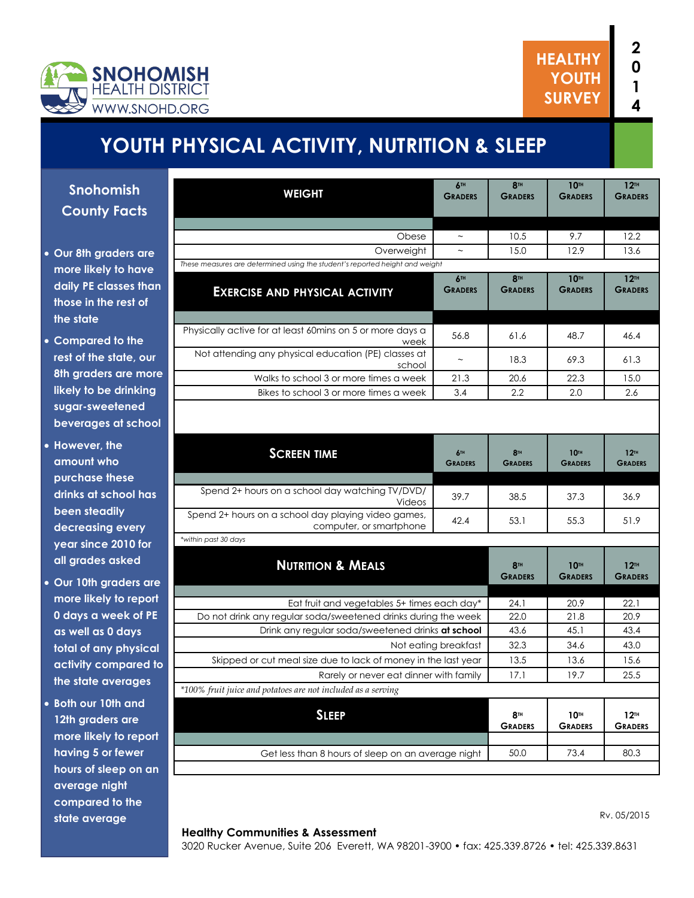

# **YOUTH PHYSICAL ACTIVITY, NUTRITION & SLEEP**

**Snohomish County Facts**

- **Our 8th graders are more likely to have daily PE classes than those in the rest of the state**
- **Compared to the rest of the state, our 8th graders are more likely to be drinking sugar-sweetened beverages at school**
- **However, the amount who purchase these drinks at school has been steadily decreasing every year since 2010 for all grades asked**
- **Our 10th graders are more likely to report 0 days a week of PE as well as 0 days total of any physical activity compared to the state averages**
- **Both our 10th and 12th graders are more likely to report having 5 or fewer hours of sleep on an average night compared to the state average**

| <b>WEIGHT</b>                                                                  | 6TH<br><b>GRADERS</b> | 8 <sup>TH</sup><br><b>GRADERS</b> | <b>10TH</b><br><b>GRADERS</b>      | 12 <sup>TH</sup><br><b>GRADERS</b> |
|--------------------------------------------------------------------------------|-----------------------|-----------------------------------|------------------------------------|------------------------------------|
|                                                                                |                       |                                   |                                    |                                    |
|                                                                                |                       |                                   |                                    |                                    |
| Obese                                                                          | $\thicksim$           | 10.5                              | 9.7                                | 12.2                               |
| Overweight                                                                     |                       | 15.0                              | 12.9                               | 13.6                               |
| These measures are determined using the student's reported height and weight   |                       |                                   |                                    |                                    |
| <b>EXERCISE AND PHYSICAL ACTIVITY</b>                                          | 6TH<br><b>GRADERS</b> | 8TH<br><b>GRADERS</b>             | <b>10TH</b><br><b>GRADERS</b>      | 12 <sup>TH</sup><br><b>GRADERS</b> |
| Physically active for at least 60mins on 5 or more days a                      |                       |                                   |                                    |                                    |
| week                                                                           | 56.8                  | 61.6                              | 48.7                               | 46.4                               |
| Not attending any physical education (PE) classes at<br>school                 | $\sim$                | 18.3                              | 69.3                               | 61.3                               |
| Walks to school 3 or more times a week                                         | 21.3                  | 20.6                              | 22.3                               | 15.0                               |
| Bikes to school 3 or more times a week                                         | 3.4                   | 2.2                               | 2.0                                | 2.6                                |
|                                                                                |                       |                                   |                                    |                                    |
| <b>SCREEN TIME</b>                                                             | 6TH<br><b>GRADERS</b> | 8 <sup>TH</sup><br><b>GRADERS</b> | <b>10TH</b><br><b>GRADERS</b>      | 12 <sup>TH</sup><br><b>GRADERS</b> |
| Spend 2+ hours on a school day watching TV/DVD/                                |                       |                                   |                                    |                                    |
| Videos                                                                         | 39.7                  | 38.5                              | 37.3                               | 36.9                               |
| Spend 2+ hours on a school day playing video games,<br>computer, or smartphone | 42.4                  | 53.1                              | 55.3                               | 51.9                               |
| *within past 30 days                                                           |                       |                                   |                                    |                                    |
| <b>NUTRITION &amp; MEALS</b>                                                   |                       | <b>8TH</b><br><b>GRADERS</b>      | <b>10TH</b><br><b>GRADERS</b>      | 12 <sup>TH</sup><br><b>GRADERS</b> |
| Eat fruit and vegetables 5+ times each day*                                    |                       | 24.1                              | 20.9                               | 22.1                               |
| Do not drink any regular soda/sweetened drinks during the week                 |                       | 22.0                              | 21.8                               | 20.9                               |
| Drink any regular soda/sweetened drinks at school                              |                       | 43.6                              | 45.1                               | 43.4                               |
| Not eating breakfast                                                           |                       | 32.3                              | 34.6                               | 43.0                               |
| Skipped or cut meal size due to lack of money in the last year                 |                       | 13.5                              | 13.6                               | 15.6                               |
| Rarely or never eat dinner with family                                         |                       | 17.1                              | 19.7                               | 25.5                               |
| *100% fruit juice and potatoes are not included as a serving                   |                       |                                   |                                    |                                    |
| <b>SLEEP</b>                                                                   |                       | <b>8TH</b>                        | 10 <sup>th</sup><br><b>GRADERS</b> | 12 <sup>TH</sup><br><b>GRADERS</b> |
|                                                                                |                       | <b>GRADERS</b>                    |                                    |                                    |
|                                                                                |                       |                                   |                                    |                                    |

#### **Healthy Communities & Assessment**

Rv. 05/2015

3020 Rucker Avenue, Suite 206 Everett, WA 98201-3900 • fax: 425.339.8726 • tel: 425.339.8631